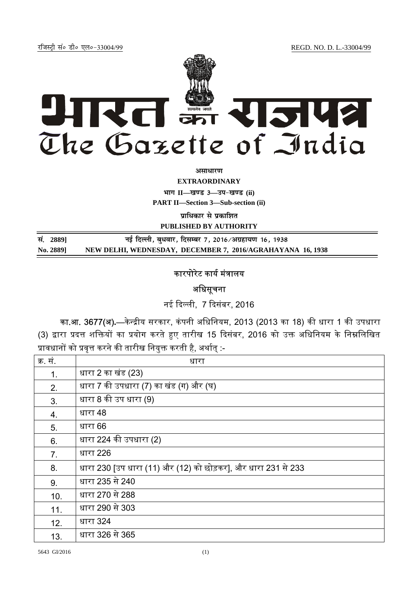jftLVªh laö Mhö ,yö&33004@99 REGD. NO. D. L.-33004/99



*<u>ature 3</u>* 

**EXTRAORDINARY**  $\lim_{x \to \infty} \frac{1}{1 - \frac{1}{x}}$  and 3 and  $\lim_{x \to \infty} \frac{1}{x}$ 

**PART II—Section 3—Sub-section (ii)** 

**प्राधिकार से प्रकाशित** 

**PUBLISHED BY AUTHORITY**

| सं. 28891 | नई दिल्ली, बुधवार, दिसम्बर 7, 2016/अग्रहायण 16, 1938       |
|-----------|------------------------------------------------------------|
| No. 2889] | NEW DELHI, WEDNESDAY, DECEMBER 7, 2016/AGRAHAYANA 16, 1938 |

## कारपोरेट कार्य मंत्रालय

अधिसूचना

नई दिल्ली, 7 दिसंबर, 2016

<mark>का.आ. 3677(अ).</mark>—केन्द्रीय सरकार, कंपनी अधिनियम, 2013 (2013 का 18) की धारा 1 की उपधारा (3) द्वारा प्रदत्त शक्तियों का प्रयोग करते हुए तारीख 15 दिसंबर, 2016 को उक्त अधिनियम के निम्नलिखित प्रावधानों को प्रवृत्त करने की तारीख नियुक्त करती है, अर्थात् :-

| क्र. सं. | धारा                                                          |
|----------|---------------------------------------------------------------|
| 1.       | धारा 2 का खंड (23)                                            |
| 2.       | धारा 7 की उपधारा (7) का खंड (ग) और (घ)                        |
| 3.       | धारा 8 की उप धारा (9)                                         |
| 4.       | धारा 48                                                       |
| 5.       | धारा 66                                                       |
| 6.       | धारा 224 की उपधारा (2)                                        |
| 7.       | धारा 226                                                      |
| 8.       | धारा 230 [उप धारा (11) और (12) को छोड़कर], और धारा 231 से 233 |
| 9.       | धारा 235 से 240                                               |
| 10.      | धारा 270 से 288                                               |
| 11.      | धारा 290 से 303                                               |
| 12.      | धारा 324                                                      |
| 13.      | धारा 326 से 365                                               |